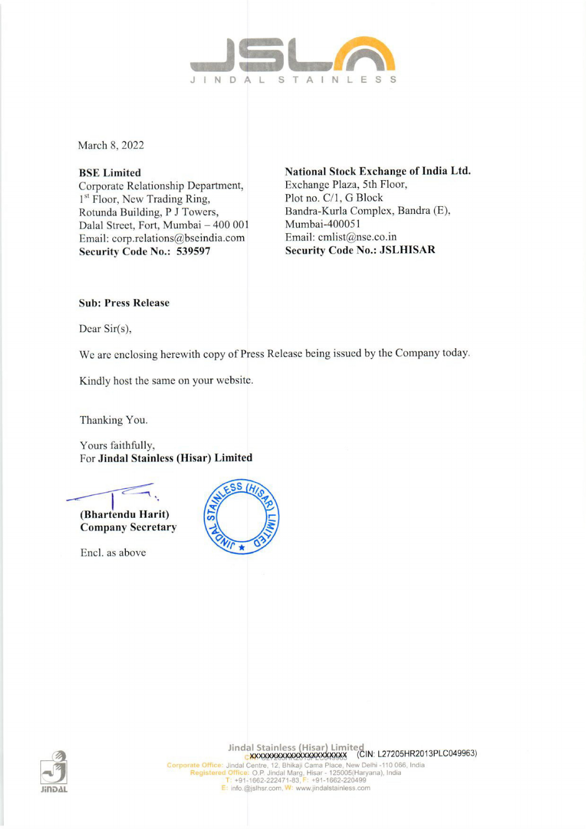

March 8, 2022

Corporate Relationship Department, Exchange Plaza, Sth Floor, 1<sup>st</sup> Floor, New Trading Ring, Plot no. C/1, G Block Rotunda Building, P J Towers, Bandra-Kurla Complex, Bandra (E), Dalal Street, Fort, Mumbai - 400 001 Mumbai-400051 Email: corp.relations@bseindia.com Email: cmlist@nse.co.in Security Code No.: 539597 Security Code No.: JSLHISAR

BSE Limited National Stock Exchange of India Ltd.

## Sub: Press Release

Dear Sir(s),

We are enclosing herewith copy of Press Release being issued by the Company today.

Kindly host the same on your website.

Thanking You.

Yours faithfully, For Jindal Stainless (Hisar) Limited



(Bhartendu Harit) Company Secretary

Encl. as above